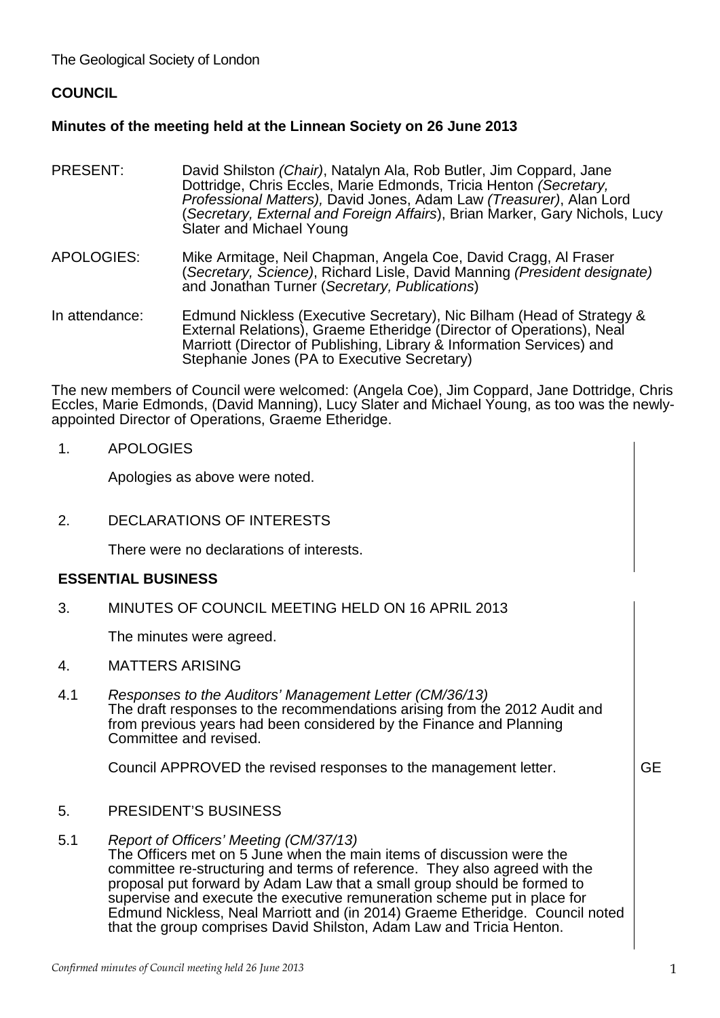The Geological Society of London

# **COUNCIL**

## **Minutes of the meeting held at the Linnean Society on 26 June 2013**

- PRESENT: David Shilston *(Chair)*, Natalyn Ala, Rob Butler, Jim Coppard, Jane Dottridge, Chris Eccles, Marie Edmonds, Tricia Henton *(Secretary, Professional Matters),* David Jones, Adam Law *(Treasurer)*, Alan Lord (*Secretary, External and Foreign Affairs*), Brian Marker, Gary Nichols, Lucy Slater and Michael Young
- APOLOGIES: Mike Armitage, Neil Chapman, Angela Coe, David Cragg, Al Fraser (*Secretary, Science)*, Richard Lisle, David Manning *(President designate)* and Jonathan Turner (*Secretary, Publications*)
- In attendance: Edmund Nickless (Executive Secretary), Nic Bilham (Head of Strategy & External Relations), Graeme Etheridge (Director of Operations), Neal Marriott (Director of Publishing, Library & Information Services) and Stephanie Jones (PA to Executive Secretary)

The new members of Council were welcomed: (Angela Coe), Jim Coppard, Jane Dottridge, Chris Eccles, Marie Edmonds, (David Manning), Lucy Slater and Michael Young, as too was the newlyappointed Director of Operations, Graeme Etheridge.

1. APOLOGIES

Apologies as above were noted.

2. DECLARATIONS OF INTERESTS

There were no declarations of interests.

## **ESSENTIAL BUSINESS**

3. MINUTES OF COUNCIL MEETING HELD ON 16 APRIL 2013

The minutes were agreed.

- 4. MATTERS ARISING
- 4.1 *Responses to the Auditors' Management Letter (CM/36/13)* The draft responses to the recommendations arising from the 2012 Audit and from previous years had been considered by the Finance and Planning Committee and revised.

Council APPROVED the revised responses to the management letter. GE

- 5. PRESIDENT'S BUSINESS
- 5.1 *Report of Officers' Meeting (CM/37/13)*

The Officers met on 5 June when the main items of discussion were the committee re-structuring and terms of reference. They also agreed with the proposal put forward by Adam Law that a small group should be formed to supervise and execute the executive remuneration scheme put in place for Edmund Nickless, Neal Marriott and (in 2014) Graeme Etheridge. Council noted that the group comprises David Shilston, Adam Law and Tricia Henton.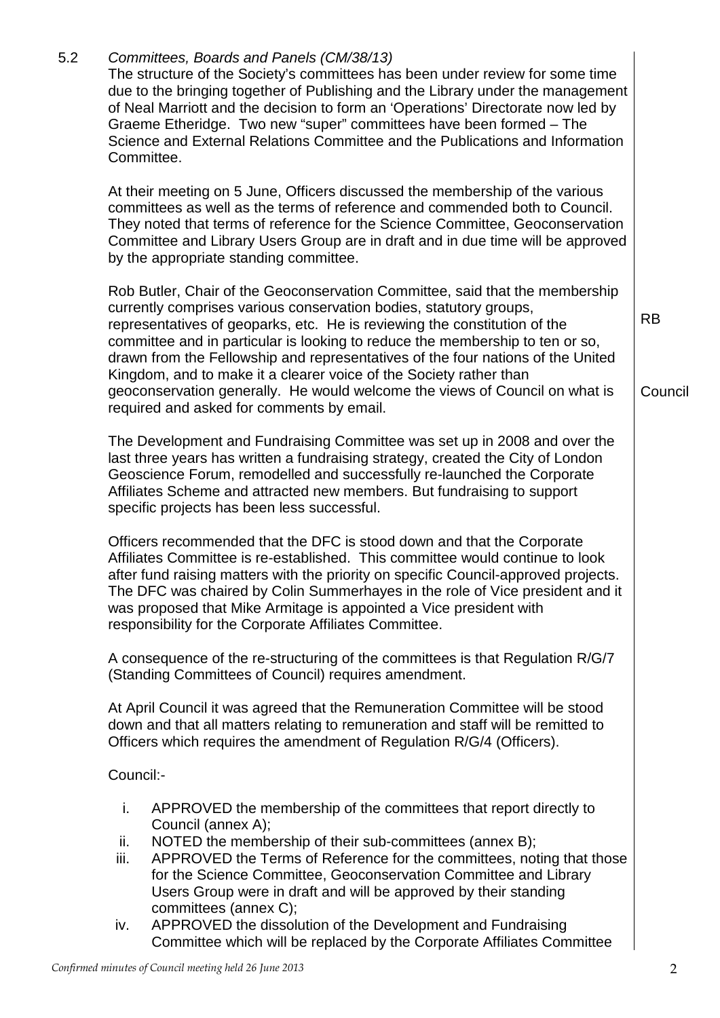|                                                                                                                                                                                                                                                                                                                                                                                                                                                                 | The structure of the Society's committees has been under review for some time<br>due to the bringing together of Publishing and the Library under the management<br>of Neal Marriott and the decision to form an 'Operations' Directorate now led by<br>Graeme Etheridge. Two new "super" committees have been formed - The<br>Science and External Relations Committee and the Publications and Information<br>Committee.                                                                                                                                                                            |                      |  |
|-----------------------------------------------------------------------------------------------------------------------------------------------------------------------------------------------------------------------------------------------------------------------------------------------------------------------------------------------------------------------------------------------------------------------------------------------------------------|-------------------------------------------------------------------------------------------------------------------------------------------------------------------------------------------------------------------------------------------------------------------------------------------------------------------------------------------------------------------------------------------------------------------------------------------------------------------------------------------------------------------------------------------------------------------------------------------------------|----------------------|--|
|                                                                                                                                                                                                                                                                                                                                                                                                                                                                 | At their meeting on 5 June, Officers discussed the membership of the various<br>committees as well as the terms of reference and commended both to Council.<br>They noted that terms of reference for the Science Committee, Geoconservation<br>Committee and Library Users Group are in draft and in due time will be approved<br>by the appropriate standing committee.                                                                                                                                                                                                                             |                      |  |
|                                                                                                                                                                                                                                                                                                                                                                                                                                                                 | Rob Butler, Chair of the Geoconservation Committee, said that the membership<br>currently comprises various conservation bodies, statutory groups,<br>representatives of geoparks, etc. He is reviewing the constitution of the<br>committee and in particular is looking to reduce the membership to ten or so,<br>drawn from the Fellowship and representatives of the four nations of the United<br>Kingdom, and to make it a clearer voice of the Society rather than<br>geoconservation generally. He would welcome the views of Council on what is<br>required and asked for comments by email. | <b>RB</b><br>Council |  |
|                                                                                                                                                                                                                                                                                                                                                                                                                                                                 | The Development and Fundraising Committee was set up in 2008 and over the<br>last three years has written a fundraising strategy, created the City of London<br>Geoscience Forum, remodelled and successfully re-launched the Corporate<br>Affiliates Scheme and attracted new members. But fundraising to support<br>specific projects has been less successful.                                                                                                                                                                                                                                     |                      |  |
| Officers recommended that the DFC is stood down and that the Corporate<br>Affiliates Committee is re-established. This committee would continue to look<br>after fund raising matters with the priority on specific Council-approved projects.<br>The DFC was chaired by Colin Summerhayes in the role of Vice president and it<br>was proposed that Mike Armitage is appointed a Vice president with<br>responsibility for the Corporate Affiliates Committee. |                                                                                                                                                                                                                                                                                                                                                                                                                                                                                                                                                                                                       |                      |  |
|                                                                                                                                                                                                                                                                                                                                                                                                                                                                 | A consequence of the re-structuring of the committees is that Regulation R/G/7<br>(Standing Committees of Council) requires amendment.                                                                                                                                                                                                                                                                                                                                                                                                                                                                |                      |  |
|                                                                                                                                                                                                                                                                                                                                                                                                                                                                 | At April Council it was agreed that the Remuneration Committee will be stood<br>down and that all matters relating to remuneration and staff will be remitted to<br>Officers which requires the amendment of Regulation R/G/4 (Officers).                                                                                                                                                                                                                                                                                                                                                             |                      |  |
| Council:-                                                                                                                                                                                                                                                                                                                                                                                                                                                       |                                                                                                                                                                                                                                                                                                                                                                                                                                                                                                                                                                                                       |                      |  |
| i.<br>ii.                                                                                                                                                                                                                                                                                                                                                                                                                                                       | APPROVED the membership of the committees that report directly to<br>Council (annex A);<br>NOTED the membership of their sub-committees (annex B);                                                                                                                                                                                                                                                                                                                                                                                                                                                    |                      |  |
| iii.                                                                                                                                                                                                                                                                                                                                                                                                                                                            | APPROVED the Terms of Reference for the committees, noting that those<br>for the Science Committee, Geoconservation Committee and Library<br>Users Group were in draft and will be approved by their standing<br>committees (annex C);                                                                                                                                                                                                                                                                                                                                                                |                      |  |
| iv.                                                                                                                                                                                                                                                                                                                                                                                                                                                             | APPROVED the dissolution of the Development and Fundraising<br>Committee which will be replaced by the Corporate Affiliates Committee                                                                                                                                                                                                                                                                                                                                                                                                                                                                 |                      |  |

5.2 *Committees, Boards and Panels (CM/38/13)*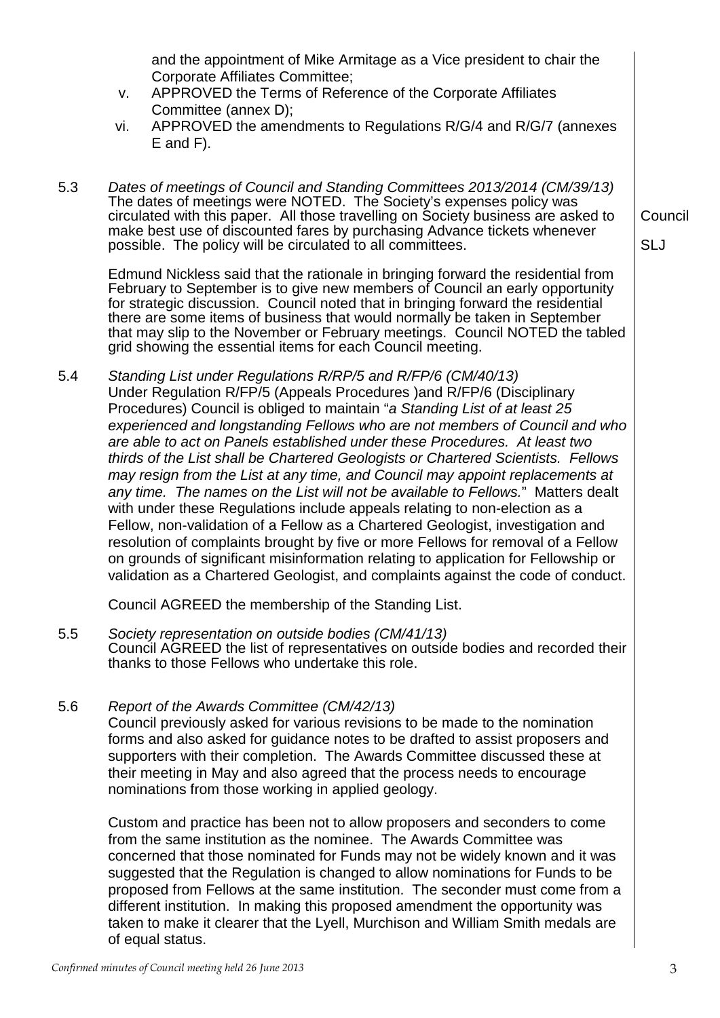Corporate Affiliates Committee; v. APPROVED the Terms of Reference of the Corporate Affiliates Committee (annex D); vi. APPROVED the amendments to Regulations R/G/4 and R/G/7 (annexes E and F). 5.3 *Dates of meetings of Council and Standing Committees 2013/2014 (CM/39/13)* The dates of meetings were NOTED. The Society's expenses policy was circulated with this paper. All those travelling on Society business are asked to make best use of discounted fares by purchasing Advance tickets whenever possible. The policy will be circulated to all committees. Edmund Nickless said that the rationale in bringing forward the residential from February to September is to give new members of Council an early opportunity for strategic discussion. Council noted that in bringing forward the residential there are some items of business that would normally be taken in September that may slip to the November or February meetings. Council NOTED the tabled grid showing the essential items for each Council meeting. Council SLJ 5.4 *Standing List under Regulations R/RP/5 and R/FP/6 (CM/40/13)* Under Regulation R/FP/5 (Appeals Procedures )and R/FP/6 (Disciplinary Procedures) Council is obliged to maintain "*a Standing List of at least 25 experienced and longstanding Fellows who are not members of Council and who are able to act on Panels established under these Procedures. At least two thirds of the List shall be Chartered Geologists or Chartered Scientists. Fellows may resign from the List at any time, and Council may appoint replacements at any time. The names on the List will not be available to Fellows.*" Matters dealt with under these Regulations include appeals relating to non-election as a Fellow, non-validation of a Fellow as a Chartered Geologist, investigation and resolution of complaints brought by five or more Fellows for removal of a Fellow on grounds of significant misinformation relating to application for Fellowship or validation as a Chartered Geologist, and complaints against the code of conduct. Council AGREED the membership of the Standing List. 5.5 *Society representation on outside bodies (CM/41/13)* Council AGREED the list of representatives on outside bodies and recorded their thanks to those Fellows who undertake this role. 5.6 *Report of the Awards Committee (CM/42/13)* Council previously asked for various revisions to be made to the nomination forms and also asked for guidance notes to be drafted to assist proposers and supporters with their completion. The Awards Committee discussed these at their meeting in May and also agreed that the process needs to encourage nominations from those working in applied geology. Custom and practice has been not to allow proposers and seconders to come from the same institution as the nominee. The Awards Committee was concerned that those nominated for Funds may not be widely known and it was suggested that the Regulation is changed to allow nominations for Funds to be proposed from Fellows at the same institution. The seconder must come from a different institution. In making this proposed amendment the opportunity was taken to make it clearer that the Lyell, Murchison and William Smith medals are of equal status.

and the appointment of Mike Armitage as a Vice president to chair the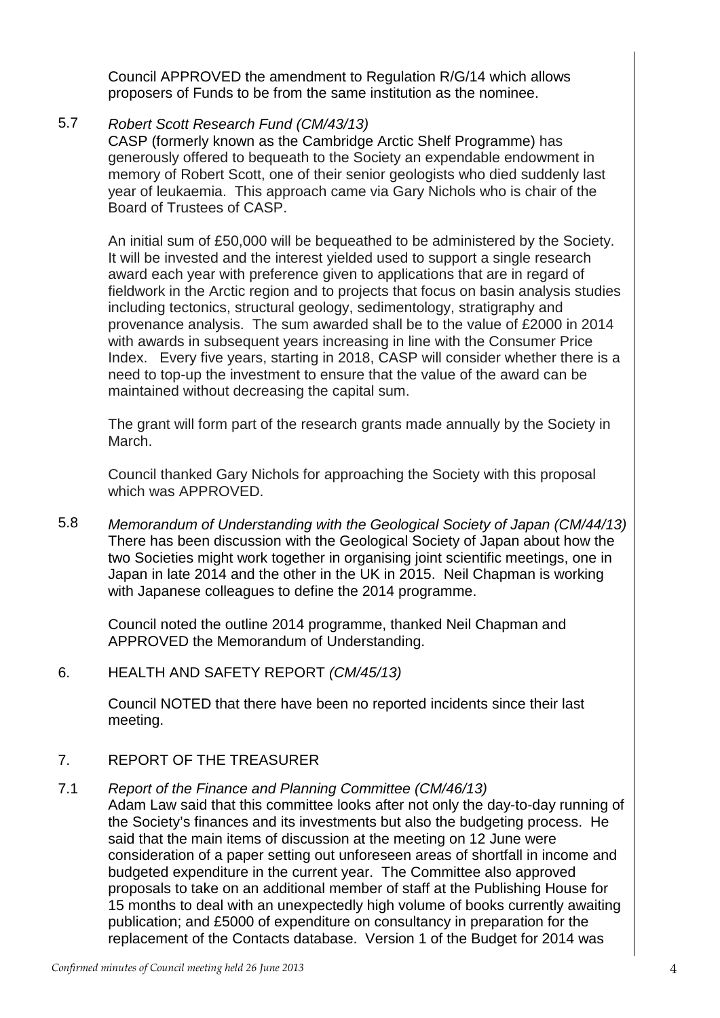Council APPROVED the amendment to Regulation R/G/14 which allows proposers of Funds to be from the same institution as the nominee.

## 5.7 *Robert Scott Research Fund (CM/43/13)*

CASP (formerly known as the Cambridge Arctic Shelf Programme) has generously offered to bequeath to the Society an expendable endowment in memory of Robert Scott, one of their senior geologists who died suddenly last year of leukaemia. This approach came via Gary Nichols who is chair of the Board of Trustees of CASP.

An initial sum of £50,000 will be bequeathed to be administered by the Society. It will be invested and the interest yielded used to support a single research award each year with preference given to applications that are in regard of fieldwork in the Arctic region and to projects that focus on basin analysis studies including tectonics, structural geology, sedimentology, stratigraphy and provenance analysis. The sum awarded shall be to the value of £2000 in 2014 with awards in subsequent years increasing in line with the Consumer Price Index. Every five years, starting in 2018, CASP will consider whether there is a need to top-up the investment to ensure that the value of the award can be maintained without decreasing the capital sum.

The grant will form part of the research grants made annually by the Society in March.

Council thanked Gary Nichols for approaching the Society with this proposal which was APPROVED.

5.8 *Memorandum of Understanding with the Geological Society of Japan (CM/44/13)* There has been discussion with the Geological Society of Japan about how the two Societies might work together in organising joint scientific meetings, one in Japan in late 2014 and the other in the UK in 2015. Neil Chapman is working with Japanese colleagues to define the 2014 programme.

Council noted the outline 2014 programme, thanked Neil Chapman and APPROVED the Memorandum of Understanding.

## 6. HEALTH AND SAFETY REPORT *(CM/45/13)*

Council NOTED that there have been no reported incidents since their last meeting.

#### 7. REPORT OF THE TREASURER

#### 7.1 *Report of the Finance and Planning Committee (CM/46/13)*

Adam Law said that this committee looks after not only the day-to-day running of the Society's finances and its investments but also the budgeting process. He said that the main items of discussion at the meeting on 12 June were consideration of a paper setting out unforeseen areas of shortfall in income and budgeted expenditure in the current year. The Committee also approved proposals to take on an additional member of staff at the Publishing House for 15 months to deal with an unexpectedly high volume of books currently awaiting publication; and £5000 of expenditure on consultancy in preparation for the replacement of the Contacts database. Version 1 of the Budget for 2014 was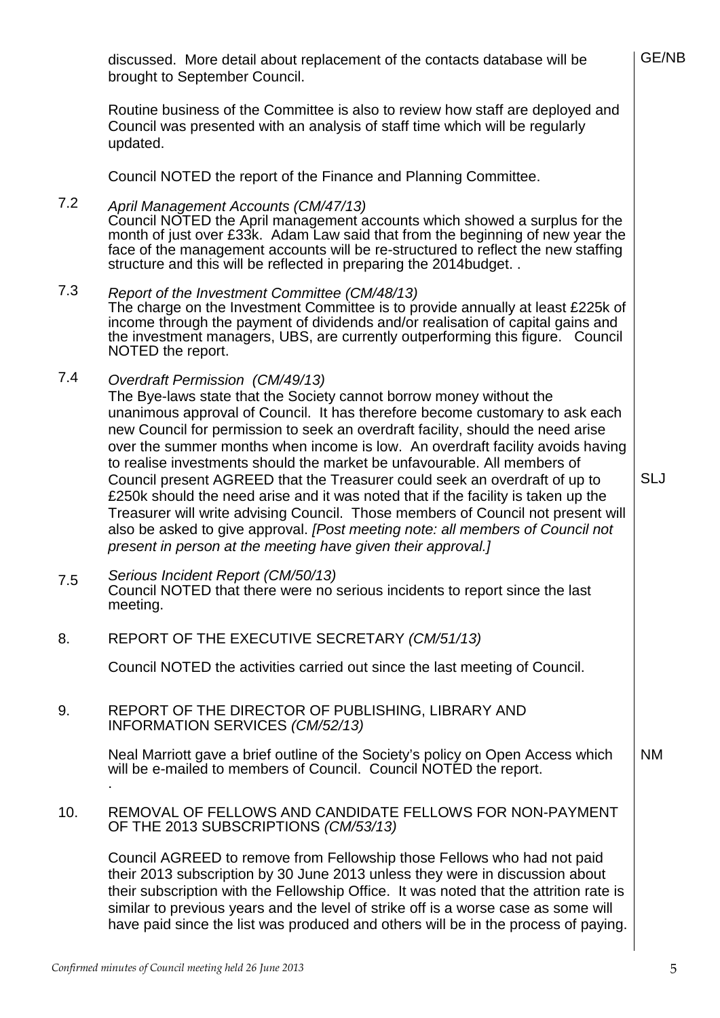discussed. More detail about replacement of the contacts database will be brought to September Council.

Routine business of the Committee is also to review how staff are deployed and Council was presented with an analysis of staff time which will be regularly updated.

Council NOTED the report of the Finance and Planning Committee.

#### 7.2 *April Management Accounts (CM/47/13)*

Council NOTED the April management accounts which showed a surplus for the month of just over £33k. Adam Law said that from the beginning of new year the face of the management accounts will be re-structured to reflect the new staffing structure and this will be reflected in preparing the 2014budget. .

- 7.3 *Report of the Investment Committee (CM/48/13)* The charge on the Investment Committee is to provide annually at least £225k of income through the payment of dividends and/or realisation of capital gains and the investment managers, UBS, are currently outperforming this figure. Council NOTED the report.
- 7.4 *Overdraft Permission (CM/49/13)*

The Bye-laws state that the Society cannot borrow money without the unanimous approval of Council. It has therefore become customary to ask each new Council for permission to seek an overdraft facility, should the need arise over the summer months when income is low. An overdraft facility avoids having to realise investments should the market be unfavourable. All members of Council present AGREED that the Treasurer could seek an overdraft of up to £250k should the need arise and it was noted that if the facility is taken up the Treasurer will write advising Council. Those members of Council not present will also be asked to give approval. *[Post meeting note: all members of Council not present in person at the meeting have given their approval.]* 

7.5 *Serious Incident Report (CM/50/13)* Council NOTED that there were no serious incidents to report since the last meeting.

8. REPORT OF THE EXECUTIVE SECRETARY *(CM/51/13)*

Council NOTED the activities carried out since the last meeting of Council.

9. REPORT OF THE DIRECTOR OF PUBLISHING, LIBRARY AND INFORMATION SERVICES *(CM/52/13)*

> Neal Marriott gave a brief outline of the Society's policy on Open Access which will be e-mailed to members of Council. Council NOTED the report. . NM

10. REMOVAL OF FELLOWS AND CANDIDATE FELLOWS FOR NON-PAYMENT OF THE 2013 SUBSCRIPTIONS *(CM/53/13)*

Council AGREED to remove from Fellowship those Fellows who had not paid their 2013 subscription by 30 June 2013 unless they were in discussion about their subscription with the Fellowship Office. It was noted that the attrition rate is similar to previous years and the level of strike off is a worse case as some will have paid since the list was produced and others will be in the process of paying.

SLJ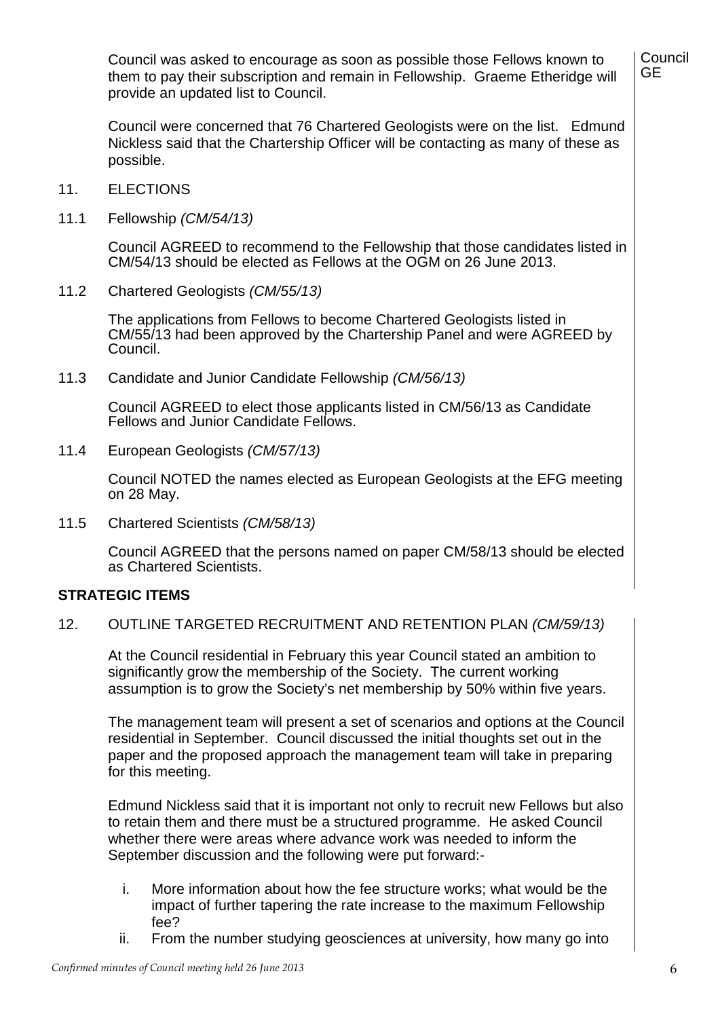Council was asked to encourage as soon as possible those Fellows known to them to pay their subscription and remain in Fellowship. Graeme Etheridge will provide an updated list to Council.

Council were concerned that 76 Chartered Geologists were on the list. Edmund Nickless said that the Chartership Officer will be contacting as many of these as possible.

- 11. **ELECTIONS**
- 11.1 Fellowship *(CM/54/13)*

Council AGREED to recommend to the Fellowship that those candidates listed in CM/54/13 should be elected as Fellows at the OGM on 26 June 2013.

11.2 Chartered Geologists *(CM/55/13)*

> The applications from Fellows to become Chartered Geologists listed in CM/55/13 had been approved by the Chartership Panel and were AGREED by Council.

11.3 Candidate and Junior Candidate Fellowship *(CM/56/13)*

> Council AGREED to elect those applicants listed in CM/56/13 as Candidate Fellows and Junior Candidate Fellows.

11.4 European Geologists *(CM/57/13)*

> Council NOTED the names elected as European Geologists at the EFG meeting on 28 May.

11.5 Chartered Scientists *(CM/58/13)*

> Council AGREED that the persons named on paper CM/58/13 should be elected as Chartered Scientists.

### **STRATEGIC ITEMS**

12. OUTLINE TARGETED RECRUITMENT AND RETENTION PLAN *(CM/59/13)*

At the Council residential in February this year Council stated an ambition to significantly grow the membership of the Society. The current working assumption is to grow the Society's net membership by 50% within five years.

The management team will present a set of scenarios and options at the Council residential in September. Council discussed the initial thoughts set out in the paper and the proposed approach the management team will take in preparing for this meeting.

Edmund Nickless said that it is important not only to recruit new Fellows but also to retain them and there must be a structured programme. He asked Council whether there were areas where advance work was needed to inform the September discussion and the following were put forward:-

- i. More information about how the fee structure works; what would be the impact of further tapering the rate increase to the maximum Fellowship fee?
- ii. From the number studying geosciences at university, how many go into

**Council** GE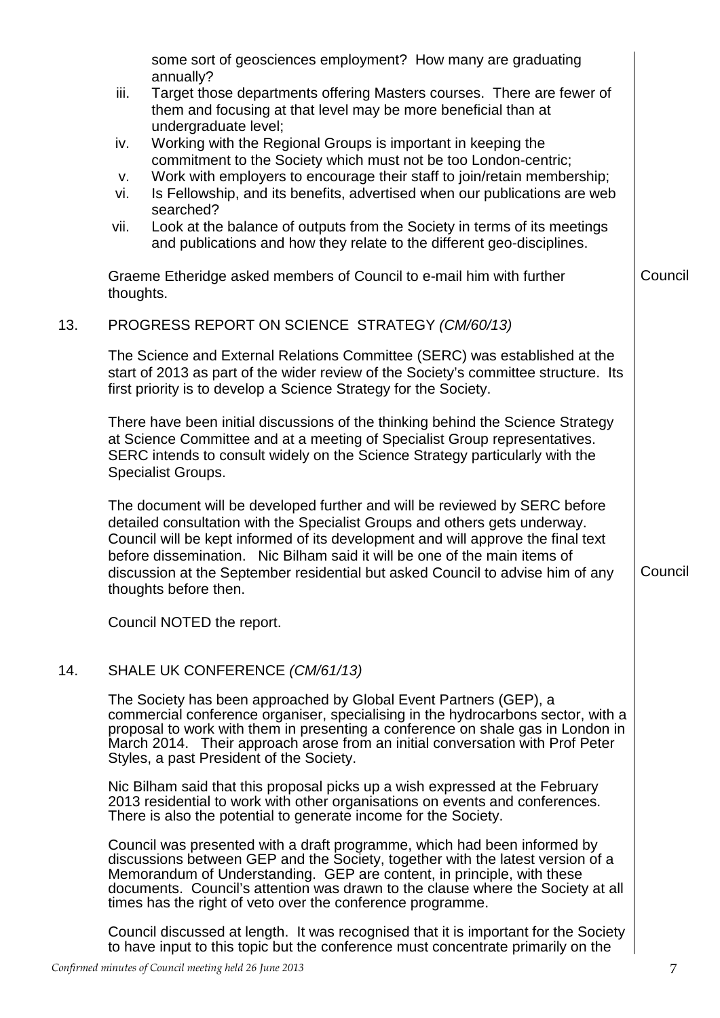|     |                                                | some sort of geosciences employment? How many are graduating<br>annually?                                                                                                                                                                                                                                                                                                                                                            |         |  |
|-----|------------------------------------------------|--------------------------------------------------------------------------------------------------------------------------------------------------------------------------------------------------------------------------------------------------------------------------------------------------------------------------------------------------------------------------------------------------------------------------------------|---------|--|
|     | iii.                                           | Target those departments offering Masters courses. There are fewer of<br>them and focusing at that level may be more beneficial than at<br>undergraduate level;                                                                                                                                                                                                                                                                      |         |  |
|     | iv.                                            | Working with the Regional Groups is important in keeping the                                                                                                                                                                                                                                                                                                                                                                         |         |  |
|     | V.                                             | commitment to the Society which must not be too London-centric;<br>Work with employers to encourage their staff to join/retain membership;                                                                                                                                                                                                                                                                                           |         |  |
|     | vi.                                            | Is Fellowship, and its benefits, advertised when our publications are web<br>searched?                                                                                                                                                                                                                                                                                                                                               |         |  |
|     | vii.                                           | Look at the balance of outputs from the Society in terms of its meetings<br>and publications and how they relate to the different geo-disciplines.                                                                                                                                                                                                                                                                                   |         |  |
|     | thoughts.                                      | Graeme Etheridge asked members of Council to e-mail him with further                                                                                                                                                                                                                                                                                                                                                                 | Council |  |
| 13. | PROGRESS REPORT ON SCIENCE STRATEGY (CM/60/13) |                                                                                                                                                                                                                                                                                                                                                                                                                                      |         |  |
|     |                                                | The Science and External Relations Committee (SERC) was established at the<br>start of 2013 as part of the wider review of the Society's committee structure. Its<br>first priority is to develop a Science Strategy for the Society.                                                                                                                                                                                                |         |  |
|     |                                                | There have been initial discussions of the thinking behind the Science Strategy<br>at Science Committee and at a meeting of Specialist Group representatives.<br>SERC intends to consult widely on the Science Strategy particularly with the<br><b>Specialist Groups.</b>                                                                                                                                                           |         |  |
|     |                                                | The document will be developed further and will be reviewed by SERC before<br>detailed consultation with the Specialist Groups and others gets underway.<br>Council will be kept informed of its development and will approve the final text<br>before dissemination. Nic Bilham said it will be one of the main items of<br>discussion at the September residential but asked Council to advise him of any<br>thoughts before then. | Council |  |
|     |                                                | Council NOTED the report.                                                                                                                                                                                                                                                                                                                                                                                                            |         |  |
| 14. |                                                | SHALE UK CONFERENCE (CM/61/13)                                                                                                                                                                                                                                                                                                                                                                                                       |         |  |
|     |                                                | The Society has been approached by Global Event Partners (GEP), a<br>commercial conference organiser, specialising in the hydrocarbons sector, with a<br>proposal to work with them in presenting a conference on shale gas in London in<br>March 2014. Their approach arose from an initial conversation with Prof Peter<br>Styles, a past President of the Society.                                                                |         |  |
|     |                                                | Nic Bilham said that this proposal picks up a wish expressed at the February<br>2013 residential to work with other organisations on events and conferences.<br>There is also the potential to generate income for the Society.                                                                                                                                                                                                      |         |  |
|     |                                                | Council was presented with a draft programme, which had been informed by<br>discussions between GEP and the Society, together with the latest version of a<br>Memorandum of Understanding. GEP are content, in principle, with these<br>documents. Council's attention was drawn to the clause where the Society at all<br>times has the right of veto over the conference programme.                                                |         |  |
|     |                                                | Council discussed at length. It was recognised that it is important for the Society<br>to have input to this topic but the conference must concentrate primarily on the                                                                                                                                                                                                                                                              |         |  |